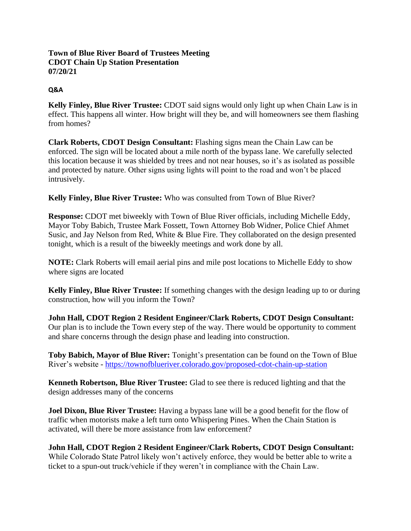## **Town of Blue River Board of Trustees Meeting CDOT Chain Up Station Presentation 07/20/21**

## **Q&A**

**Kelly Finley, Blue River Trustee:** CDOT said signs would only light up when Chain Law is in effect. This happens all winter. How bright will they be, and will homeowners see them flashing from homes?

**Clark Roberts, CDOT Design Consultant:** Flashing signs mean the Chain Law can be enforced. The sign will be located about a mile north of the bypass lane. We carefully selected this location because it was shielded by trees and not near houses, so it's as isolated as possible and protected by nature. Other signs using lights will point to the road and won't be placed intrusively.

**Kelly Finley, Blue River Trustee:** Who was consulted from Town of Blue River?

**Response:** CDOT met biweekly with Town of Blue River officials, including Michelle Eddy, Mayor Toby Babich, Trustee Mark Fossett, Town Attorney Bob Widner, Police Chief Ahmet Susic, and Jay Nelson from Red, White & Blue Fire. They collaborated on the design presented tonight, which is a result of the biweekly meetings and work done by all.

**NOTE:** Clark Roberts will email aerial pins and mile post locations to Michelle Eddy to show where signs are located

**Kelly Finley, Blue River Trustee:** If something changes with the design leading up to or during construction, how will you inform the Town?

**John Hall, CDOT Region 2 Resident Engineer/Clark Roberts, CDOT Design Consultant:** Our plan is to include the Town every step of the way. There would be opportunity to comment and share concerns through the design phase and leading into construction.

**Toby Babich, Mayor of Blue River:** Tonight's presentation can be found on the Town of Blue River's website - <https://townofblueriver.colorado.gov/proposed-cdot-chain-up-station>

**Kenneth Robertson, Blue River Trustee:** Glad to see there is reduced lighting and that the design addresses many of the concerns

**Joel Dixon, Blue River Trustee:** Having a bypass lane will be a good benefit for the flow of traffic when motorists make a left turn onto Whispering Pines. When the Chain Station is activated, will there be more assistance from law enforcement?

**John Hall, CDOT Region 2 Resident Engineer/Clark Roberts, CDOT Design Consultant:** While Colorado State Patrol likely won't actively enforce, they would be better able to write a ticket to a spun-out truck/vehicle if they weren't in compliance with the Chain Law.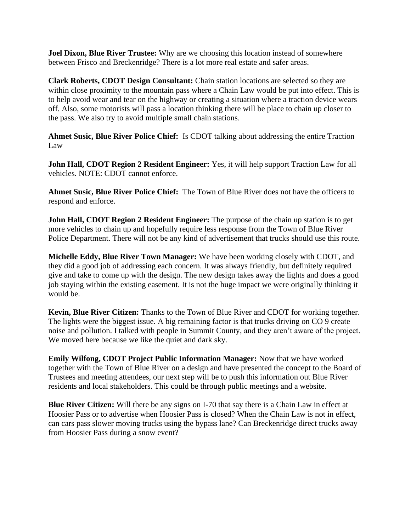**Joel Dixon, Blue River Trustee:** Why are we choosing this location instead of somewhere between Frisco and Breckenridge? There is a lot more real estate and safer areas.

**Clark Roberts, CDOT Design Consultant:** Chain station locations are selected so they are within close proximity to the mountain pass where a Chain Law would be put into effect. This is to help avoid wear and tear on the highway or creating a situation where a traction device wears off. Also, some motorists will pass a location thinking there will be place to chain up closer to the pass. We also try to avoid multiple small chain stations.

**Ahmet Susic, Blue River Police Chief:** Is CDOT talking about addressing the entire Traction Law

**John Hall, CDOT Region 2 Resident Engineer:** Yes, it will help support Traction Law for all vehicles. NOTE: CDOT cannot enforce.

**Ahmet Susic, Blue River Police Chief:** The Town of Blue River does not have the officers to respond and enforce.

**John Hall, CDOT Region 2 Resident Engineer:** The purpose of the chain up station is to get more vehicles to chain up and hopefully require less response from the Town of Blue River Police Department. There will not be any kind of advertisement that trucks should use this route.

**Michelle Eddy, Blue River Town Manager:** We have been working closely with CDOT, and they did a good job of addressing each concern. It was always friendly, but definitely required give and take to come up with the design. The new design takes away the lights and does a good job staying within the existing easement. It is not the huge impact we were originally thinking it would be.

**Kevin, Blue River Citizen:** Thanks to the Town of Blue River and CDOT for working together. The lights were the biggest issue. A big remaining factor is that trucks driving on CO 9 create noise and pollution. I talked with people in Summit County, and they aren't aware of the project. We moved here because we like the quiet and dark sky.

**Emily Wilfong, CDOT Project Public Information Manager:** Now that we have worked together with the Town of Blue River on a design and have presented the concept to the Board of Trustees and meeting attendees, our next step will be to push this information out Blue River residents and local stakeholders. This could be through public meetings and a website.

**Blue River Citizen:** Will there be any signs on I-70 that say there is a Chain Law in effect at Hoosier Pass or to advertise when Hoosier Pass is closed? When the Chain Law is not in effect, can cars pass slower moving trucks using the bypass lane? Can Breckenridge direct trucks away from Hoosier Pass during a snow event?